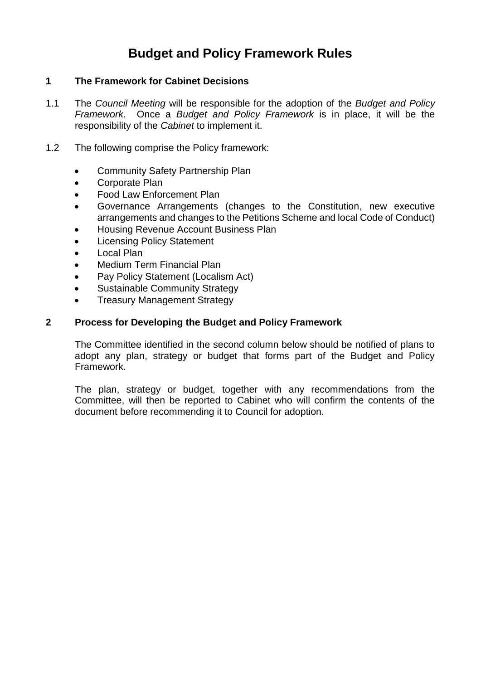# **Budget and Policy Framework Rules**

## **1 The Framework for Cabinet Decisions**

- 1.1 The *Council Meeting* will be responsible for the adoption of the *Budget and Policy Framework*. Once a *Budget and Policy Framework* is in place, it will be the responsibility of the *Cabinet* to implement it.
- 1.2 The following comprise the Policy framework:
	- Community Safety Partnership Plan
	- Corporate Plan
	- Food Law Enforcement Plan
	- Governance Arrangements (changes to the Constitution, new executive arrangements and changes to the Petitions Scheme and local Code of Conduct)
	- Housing Revenue Account Business Plan
	- Licensing Policy Statement
	- Local Plan
	- Medium Term Financial Plan
	- Pay Policy Statement (Localism Act)
	- Sustainable Community Strategy
	- Treasury Management Strategy

## **2 Process for Developing the Budget and Policy Framework**

The Committee identified in the second column below should be notified of plans to adopt any plan, strategy or budget that forms part of the Budget and Policy Framework.

The plan, strategy or budget, together with any recommendations from the Committee, will then be reported to Cabinet who will confirm the contents of the document before recommending it to Council for adoption.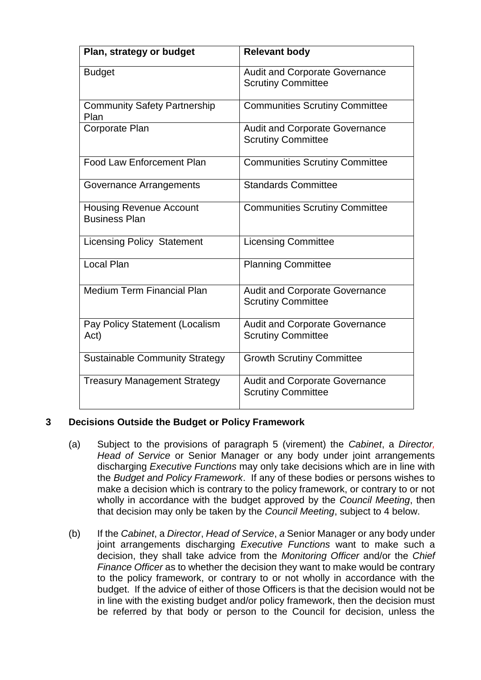| Plan, strategy or budget                               | <b>Relevant body</b>                                               |
|--------------------------------------------------------|--------------------------------------------------------------------|
| <b>Budget</b>                                          | <b>Audit and Corporate Governance</b><br><b>Scrutiny Committee</b> |
| <b>Community Safety Partnership</b><br>Plan            | <b>Communities Scrutiny Committee</b>                              |
| <b>Corporate Plan</b>                                  | <b>Audit and Corporate Governance</b><br><b>Scrutiny Committee</b> |
| <b>Food Law Enforcement Plan</b>                       | <b>Communities Scrutiny Committee</b>                              |
| Governance Arrangements                                | <b>Standards Committee</b>                                         |
| <b>Housing Revenue Account</b><br><b>Business Plan</b> | <b>Communities Scrutiny Committee</b>                              |
| <b>Licensing Policy Statement</b>                      | <b>Licensing Committee</b>                                         |
| Local Plan                                             | <b>Planning Committee</b>                                          |
| <b>Medium Term Financial Plan</b>                      | <b>Audit and Corporate Governance</b><br><b>Scrutiny Committee</b> |
| Pay Policy Statement (Localism<br>Act)                 | <b>Audit and Corporate Governance</b><br><b>Scrutiny Committee</b> |
| <b>Sustainable Community Strategy</b>                  | <b>Growth Scrutiny Committee</b>                                   |
| <b>Treasury Management Strategy</b>                    | <b>Audit and Corporate Governance</b><br><b>Scrutiny Committee</b> |

# **3 Decisions Outside the Budget or Policy Framework**

- (a) Subject to the provisions of paragraph 5 (virement) the *Cabinet*, a *Director, Head of Service* or Senior Manager or any body under joint arrangements discharging *Executive Functions* may only take decisions which are in line with the *Budget and Policy Framework*. If any of these bodies or persons wishes to make a decision which is contrary to the policy framework, or contrary to or not wholly in accordance with the budget approved by the *Council Meeting*, then that decision may only be taken by the *Council Meeting*, subject to 4 below.
- (b) If the *Cabinet*, a *Director*, *Head of Service*, *a* Senior Manager or any body under joint arrangements discharging *Executive Functions* want to make such a decision, they shall take advice from the *Monitoring Officer* and/or the *Chief Finance Officer* as to whether the decision they want to make would be contrary to the policy framework, or contrary to or not wholly in accordance with the budget. If the advice of either of those Officers is that the decision would not be in line with the existing budget and/or policy framework, then the decision must be referred by that body or person to the Council for decision, unless the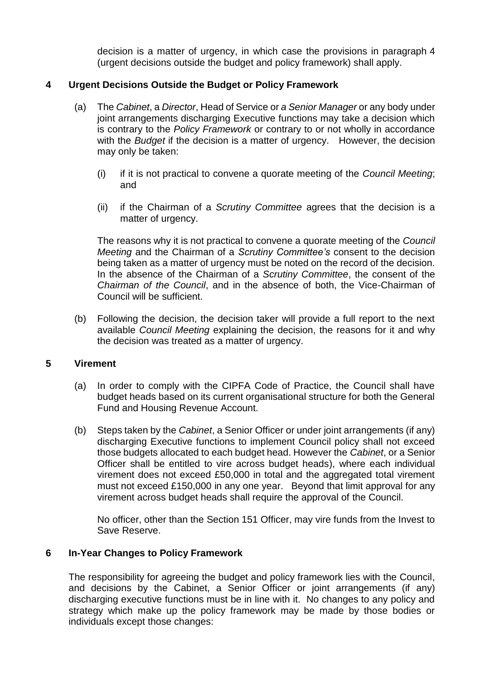decision is a matter of urgency, in which case the provisions in paragraph 4 (urgent decisions outside the budget and policy framework) shall apply.

# **4 Urgent Decisions Outside the Budget or Policy Framework**

- (a) The *Cabinet*, a *Director*, Head of Service or *a Senior Manager* or any body under joint arrangements discharging Executive functions may take a decision which is contrary to the *Policy Framework* or contrary to or not wholly in accordance with the *Budget* if the decision is a matter of urgency. However, the decision may only be taken:
	- (i) if it is not practical to convene a quorate meeting of the *Council Meeting*; and
	- (ii) if the Chairman of a *Scrutiny Committee* agrees that the decision is a matter of urgency.

The reasons why it is not practical to convene a quorate meeting of the *Council Meeting* and the Chairman of a *Scrutiny Committee's* consent to the decision being taken as a matter of urgency must be noted on the record of the decision. In the absence of the Chairman of a *Scrutiny Committee*, the consent of the *Chairman of the Council*, and in the absence of both, the Vice-Chairman of Council will be sufficient.

(b) Following the decision, the decision taker will provide a full report to the next available *Council Meeting* explaining the decision, the reasons for it and why the decision was treated as a matter of urgency.

#### **5 Virement**

- (a) In order to comply with the CIPFA Code of Practice, the Council shall have budget heads based on its current organisational structure for both the General Fund and Housing Revenue Account.
- (b) Steps taken by the *Cabinet*, a Senior Officer or under joint arrangements (if any) discharging Executive functions to implement Council policy shall not exceed those budgets allocated to each budget head. However the *Cabinet*, or a Senior Officer shall be entitled to vire across budget heads), where each individual virement does not exceed £50,000 in total and the aggregated total virement must not exceed £150,000 in any one year. Beyond that limit approval for any virement across budget heads shall require the approval of the Council.

No officer, other than the Section 151 Officer, may vire funds from the Invest to Save Reserve.

#### **6 In-Year Changes to Policy Framework**

The responsibility for agreeing the budget and policy framework lies with the Council, and decisions by the Cabinet, a Senior Officer or joint arrangements (if any) discharging executive functions must be in line with it. No changes to any policy and strategy which make up the policy framework may be made by those bodies or individuals except those changes: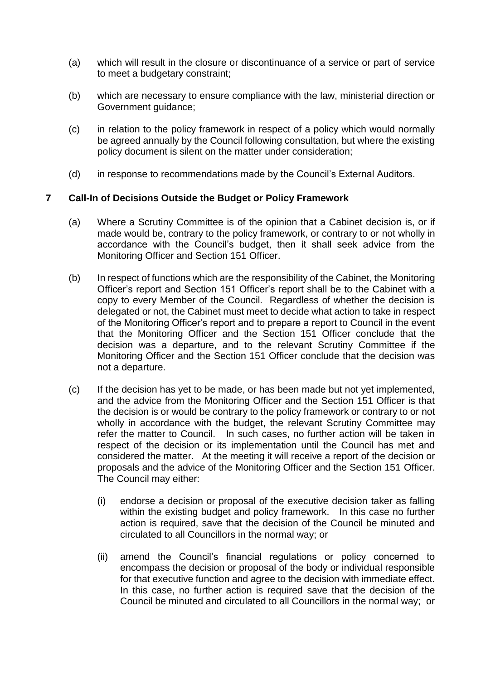- (a) which will result in the closure or discontinuance of a service or part of service to meet a budgetary constraint;
- (b) which are necessary to ensure compliance with the law, ministerial direction or Government guidance;
- (c) in relation to the policy framework in respect of a policy which would normally be agreed annually by the Council following consultation, but where the existing policy document is silent on the matter under consideration;
- (d) in response to recommendations made by the Council's External Auditors.

## **7 Call-In of Decisions Outside the Budget or Policy Framework**

- (a) Where a Scrutiny Committee is of the opinion that a Cabinet decision is, or if made would be, contrary to the policy framework, or contrary to or not wholly in accordance with the Council's budget, then it shall seek advice from the Monitoring Officer and Section 151 Officer.
- (b) In respect of functions which are the responsibility of the Cabinet, the Monitoring Officer's report and Section 151 Officer's report shall be to the Cabinet with a copy to every Member of the Council. Regardless of whether the decision is delegated or not, the Cabinet must meet to decide what action to take in respect of the Monitoring Officer's report and to prepare a report to Council in the event that the Monitoring Officer and the Section 151 Officer conclude that the decision was a departure, and to the relevant Scrutiny Committee if the Monitoring Officer and the Section 151 Officer conclude that the decision was not a departure.
- (c) If the decision has yet to be made, or has been made but not yet implemented, and the advice from the Monitoring Officer and the Section 151 Officer is that the decision is or would be contrary to the policy framework or contrary to or not wholly in accordance with the budget, the relevant Scrutiny Committee may refer the matter to Council. In such cases, no further action will be taken in respect of the decision or its implementation until the Council has met and considered the matter. At the meeting it will receive a report of the decision or proposals and the advice of the Monitoring Officer and the Section 151 Officer. The Council may either:
	- (i) endorse a decision or proposal of the executive decision taker as falling within the existing budget and policy framework. In this case no further action is required, save that the decision of the Council be minuted and circulated to all Councillors in the normal way; or
	- (ii) amend the Council's financial regulations or policy concerned to encompass the decision or proposal of the body or individual responsible for that executive function and agree to the decision with immediate effect. In this case, no further action is required save that the decision of the Council be minuted and circulated to all Councillors in the normal way; or